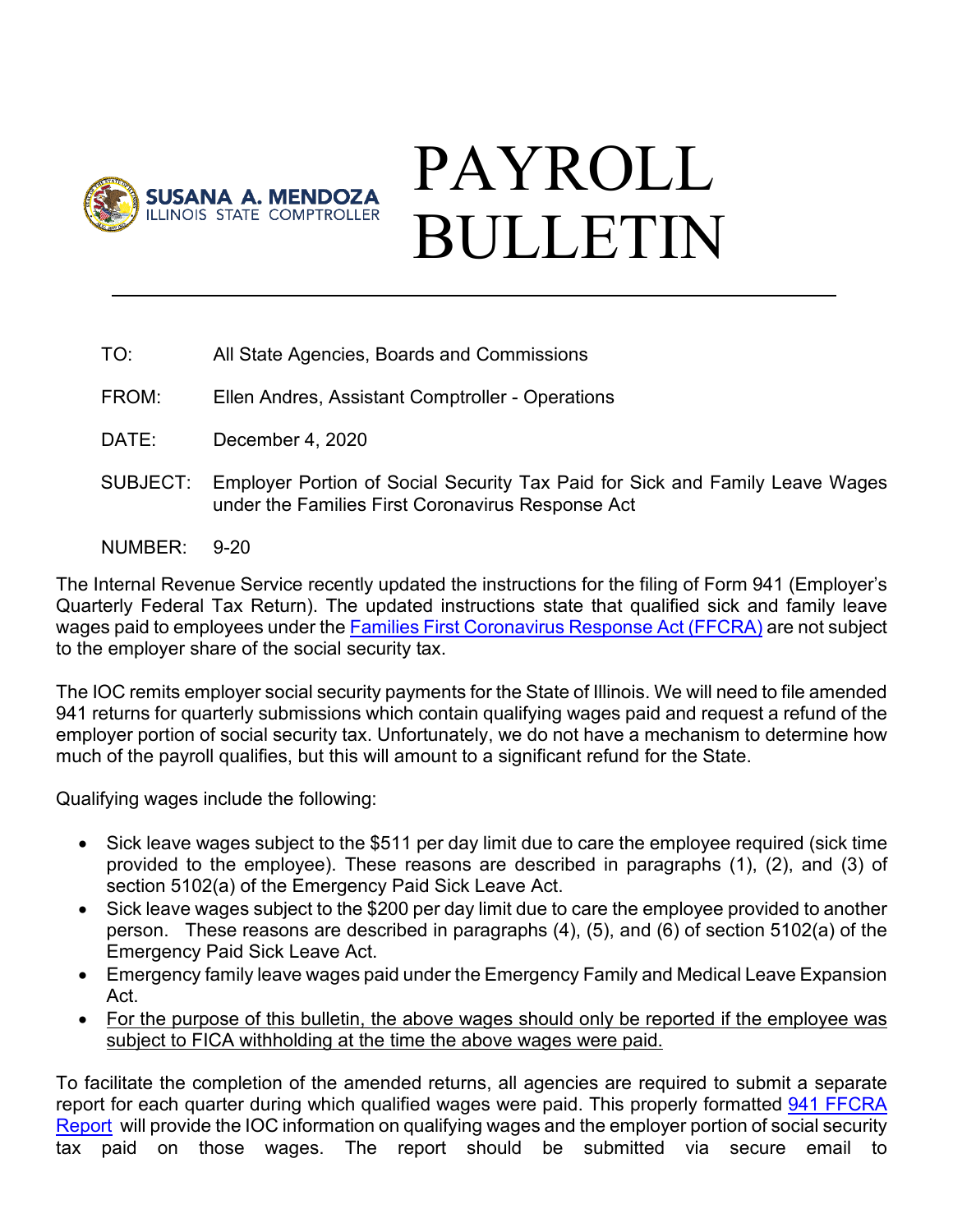

## PAYROLL BULLETIN

- TO: All State Agencies, Boards and Commissions
- FROM: Ellen Andres, Assistant Comptroller Operations
- DATE: December 4, 2020
- SUBJECT: Employer Portion of Social Security Tax Paid for Sick and Family Leave Wages under the Families First Coronavirus Response Act
- NUMBER: 9-20

The Internal Revenue Service recently updated the instructions for the filing of Form 941 (Employer's Quarterly Federal Tax Return). The updated instructions state that qualified sick and family leave wages paid to employees under the [Families First Coronavirus Response Act \(FFCRA\)](https://www.dol.gov/agencies/whd/pandemic/ffcra-employee-paid-leave) are not subject to the employer share of the social security tax.

The IOC remits employer social security payments for the State of Illinois. We will need to file amended 941 returns for quarterly submissions which contain qualifying wages paid and request a refund of the employer portion of social security tax. Unfortunately, we do not have a mechanism to determine how much of the payroll qualifies, but this will amount to a significant refund for the State.

Qualifying wages include the following:

- Sick leave wages subject to the \$511 per day limit due to care the employee required (sick time provided to the employee). These reasons are described in paragraphs (1), (2), and (3) of section 5102(a) of the Emergency Paid Sick Leave Act.
- Sick leave wages subject to the \$200 per day limit due to care the employee provided to another person. These reasons are described in paragraphs (4), (5), and (6) of section 5102(a) of the Emergency Paid Sick Leave Act.
- Emergency family leave wages paid under the Emergency Family and Medical Leave Expansion Act.
- For the purpose of this bulletin, the above wages should only be reported if the employee was subject to FICA withholding at the time the above wages were paid.

To facilitate the completion of the amended returns, all agencies are required to submit a separate report for each quarter during which qualified wages were paid. This properly formatted 941 FFCRA [Report](https://illinoiscomptroller.gov/agencies/resource-library/accounting-forms/) will provide the IOC information on qualifying wages and the employer portion of social security tax paid on those wages. The report should be submitted via secure email to